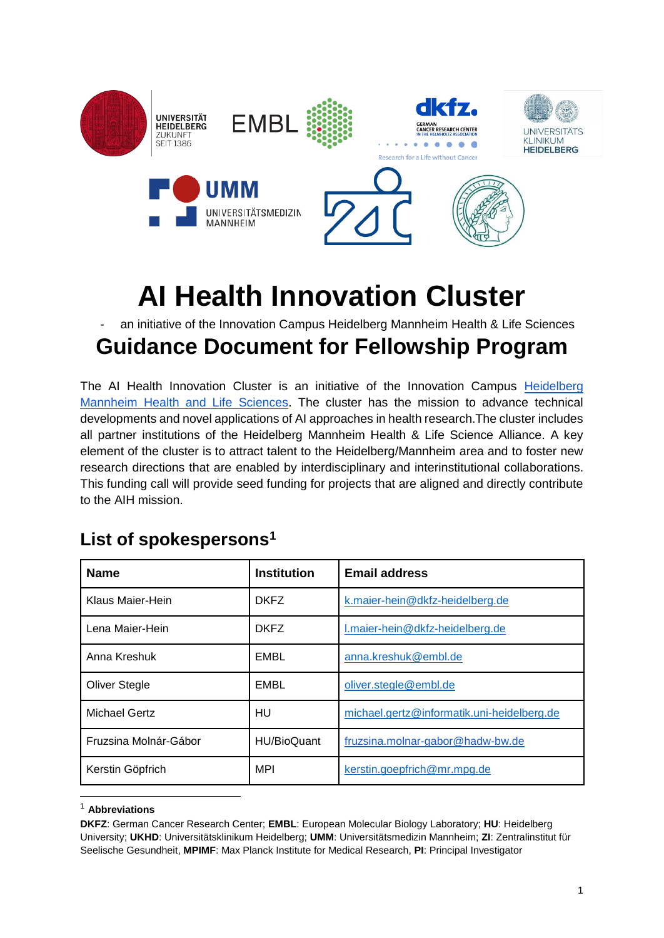

# **AI Health Innovation Cluster**

an initiative of the Innovation Campus Heidelberg Mannheim Health & Life Sciences

### **Guidance Document for Fellowship Program**

The AI Health Innovation Cluster is an initiative of the Innovation Campus Heidelberg [Mannheim Health and Life Sciences.](https://www.health-life-sciences.de/) The cluster has the mission to advance technical developments and novel applications of AI approaches in health research.The cluster includes all partner institutions of the Heidelberg Mannheim Health & Life Science Alliance. A key element of the cluster is to attract talent to the Heidelberg/Mannheim area and to foster new research directions that are enabled by interdisciplinary and interinstitutional collaborations. This funding call will provide seed funding for projects that are aligned and directly contribute to the AIH mission.

## **Name Institution Email address** Klaus Maier-Hein **DKFZ** [k.maier-hein@dkfz-heidelberg.de](mailto:k.maier-hein@dkfz-heidelberg.de) Lena Maier-Hein **DKFZ** [l.maier-hein@dkfz-heidelberg.de](mailto:l.maier-hein@dkfz-heidelberg.de) Anna Kreshuk **EMBL** [anna.kreshuk@embl.de](mailto:anna.kreshuk@embl.de) Oliver Stegle **EMBL** Oliver.stegle@embl.de Michael Gertz HU [michael.gertz@informatik.uni-heidelberg.de](mailto:michael.gertz@informatik.uni-heidelberg.de) Fruzsina Molnár-Gábor HU/BioQuant [fruzsina.molnar-gabor@hadw-bw.de](mailto:Fruzsina.Molnar-Gabor@hadw-bw.de) Kerstin Göpfrich **MPI** kerstin.goepfrich@mr.mpg.de

#### **List of spokespersons<sup>1</sup>**

-

<sup>1</sup> **Abbreviations**

**DKFZ**: German Cancer Research Center; **EMBL**: European Molecular Biology Laboratory; **HU**: Heidelberg University; **UKHD**: Universitätsklinikum Heidelberg; **UMM**: Universitätsmedizin Mannheim; **ZI**: Zentralinstitut für Seelische Gesundheit, **MPIMF**: Max Planck Institute for Medical Research, **PI**: Principal Investigator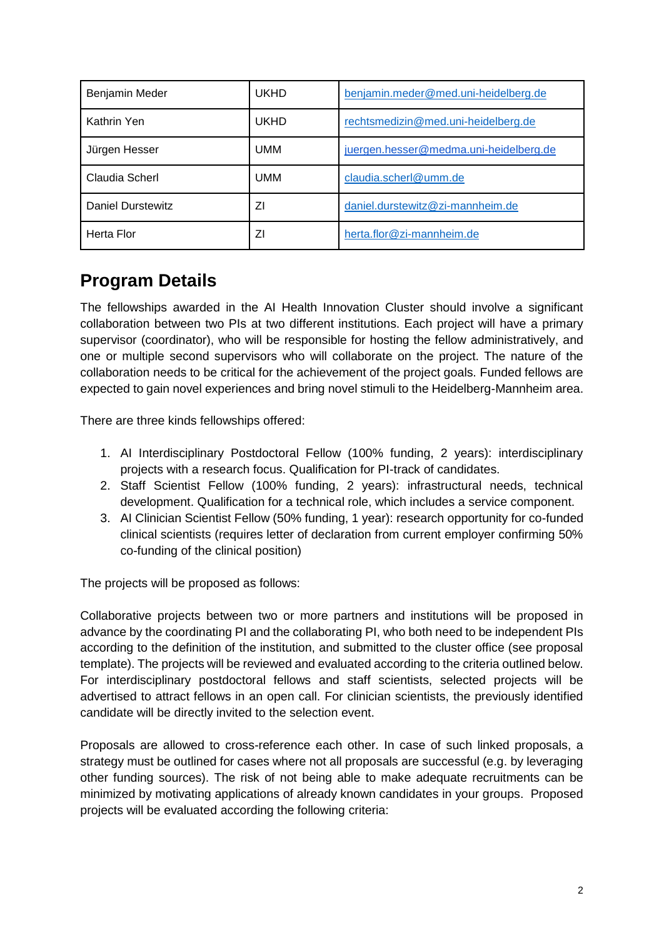| Benjamin Meder    | <b>UKHD</b> | benjamin.meder@med.uni-heidelberg.de   |
|-------------------|-------------|----------------------------------------|
| Kathrin Yen       | <b>UKHD</b> | rechtsmedizin@med.uni-heidelberg.de    |
| Jürgen Hesser     | UMM         | juergen.hesser@medma.uni-heidelberg.de |
| Claudia Scherl    | UMM         | claudia.scherl@umm.de                  |
| Daniel Durstewitz | ΖI          | daniel.durstewitz@zi-mannheim.de       |
| <b>Herta Flor</b> | ΖI          | herta.flor@zi-mannheim.de              |

#### **Program Details**

The fellowships awarded in the AI Health Innovation Cluster should involve a significant collaboration between two PIs at two different institutions. Each project will have a primary supervisor (coordinator), who will be responsible for hosting the fellow administratively, and one or multiple second supervisors who will collaborate on the project. The nature of the collaboration needs to be critical for the achievement of the project goals. Funded fellows are expected to gain novel experiences and bring novel stimuli to the Heidelberg-Mannheim area.

There are three kinds fellowships offered:

- 1. AI Interdisciplinary Postdoctoral Fellow (100% funding, 2 years): interdisciplinary projects with a research focus. Qualification for PI-track of candidates.
- 2. Staff Scientist Fellow (100% funding, 2 years): infrastructural needs, technical development. Qualification for a technical role, which includes a service component.
- 3. AI Clinician Scientist Fellow (50% funding, 1 year): research opportunity for co-funded clinical scientists (requires letter of declaration from current employer confirming 50% co-funding of the clinical position)

The projects will be proposed as follows:

Collaborative projects between two or more partners and institutions will be proposed in advance by the coordinating PI and the collaborating PI, who both need to be independent PIs according to the definition of the institution, and submitted to the cluster office (see proposal template). The projects will be reviewed and evaluated according to the criteria outlined below. For interdisciplinary postdoctoral fellows and staff scientists, selected projects will be advertised to attract fellows in an open call. For clinician scientists, the previously identified candidate will be directly invited to the selection event.

Proposals are allowed to cross-reference each other. In case of such linked proposals, a strategy must be outlined for cases where not all proposals are successful (e.g. by leveraging other funding sources). The risk of not being able to make adequate recruitments can be minimized by motivating applications of already known candidates in your groups. Proposed projects will be evaluated according the following criteria: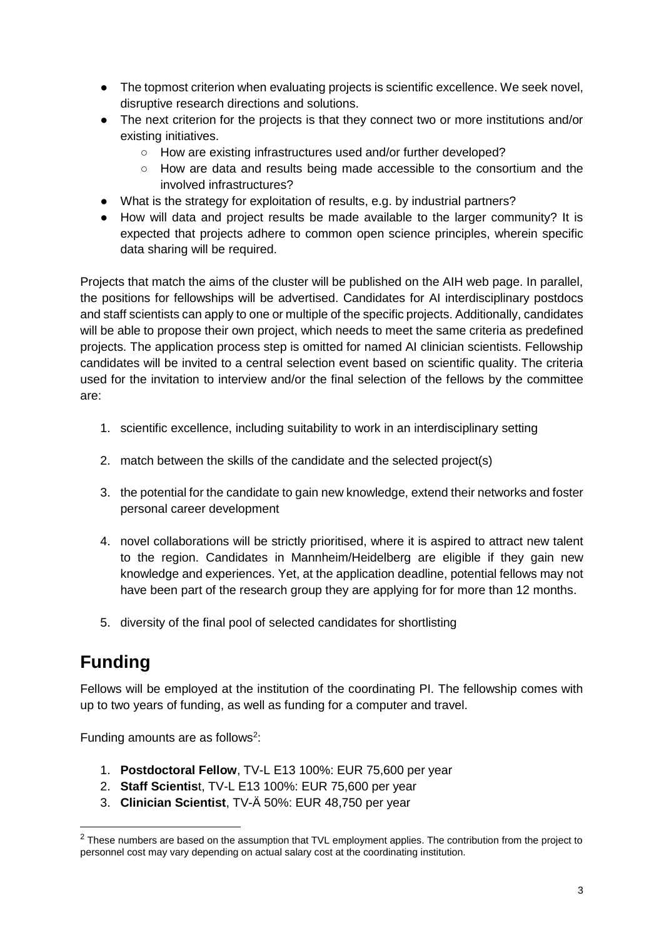- The topmost criterion when evaluating projects is scientific excellence. We seek novel, disruptive research directions and solutions.
- The next criterion for the projects is that they connect two or more institutions and/or existing initiatives.
	- How are existing infrastructures used and/or further developed?
	- How are data and results being made accessible to the consortium and the involved infrastructures?
- What is the strategy for exploitation of results, e.g. by industrial partners?
- How will data and project results be made available to the larger community? It is expected that projects adhere to common open science principles, wherein specific data sharing will be required.

Projects that match the aims of the cluster will be published on the AIH web page. In parallel, the positions for fellowships will be advertised. Candidates for AI interdisciplinary postdocs and staff scientists can apply to one or multiple of the specific projects. Additionally, candidates will be able to propose their own project, which needs to meet the same criteria as predefined projects. The application process step is omitted for named AI clinician scientists. Fellowship candidates will be invited to a central selection event based on scientific quality. The criteria used for the invitation to interview and/or the final selection of the fellows by the committee are:

- 1. scientific excellence, including suitability to work in an interdisciplinary setting
- 2. match between the skills of the candidate and the selected project(s)
- 3. the potential for the candidate to gain new knowledge, extend their networks and foster personal career development
- 4. novel collaborations will be strictly prioritised, where it is aspired to attract new talent to the region. Candidates in Mannheim/Heidelberg are eligible if they gain new knowledge and experiences. Yet, at the application deadline, potential fellows may not have been part of the research group they are applying for for more than 12 months.
- 5. diversity of the final pool of selected candidates for shortlisting

#### **Funding**

-

Fellows will be employed at the institution of the coordinating PI. The fellowship comes with up to two years of funding, as well as funding for a computer and travel.

Funding amounts are as follows<sup>2</sup>:

- 1. **Postdoctoral Fellow**, TV-L E13 100%: EUR 75,600 per year
- 2. **Staff Scientis**t, TV-L E13 100%: EUR 75,600 per year
- 3. **Clinician Scientist**, TV-Ä 50%: EUR 48,750 per year

<sup>&</sup>lt;sup>2</sup> These numbers are based on the assumption that TVL employment applies. The contribution from the project to personnel cost may vary depending on actual salary cost at the coordinating institution.